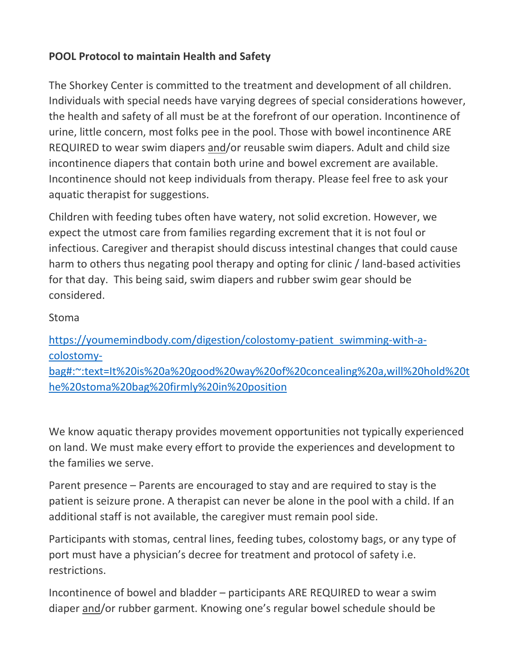## **POOL Protocol to maintain Health and Safety**

The Shorkey Center is committed to the treatment and development of all children. Individuals with special needs have varying degrees of special considerations however, the health and safety of all must be at the forefront of our operation. Incontinence of urine, little concern, most folks pee in the pool. Those with bowel incontinence ARE REQUIRED to wear swim diapers and/or reusable swim diapers. Adult and child size incontinence diapers that contain both urine and bowel excrement are available. Incontinence should not keep individuals from therapy. Please feel free to ask your aquatic therapist for suggestions.

Children with feeding tubes often have watery, not solid excretion. However, we expect the utmost care from families regarding excrement that it is not foul or infectious. Caregiver and therapist should discuss intestinal changes that could cause harm to others thus negating pool therapy and opting for clinic / land-based activities for that day. This being said, swim diapers and rubber swim gear should be considered.

## Stoma

[https://youmemindbody.com/digestion/colostomy-patient\\_swimming-with-a](https://youmemindbody.com/digestion/colostomy-patient_swimming-with-a-colostomy-bag#:%7E:text=It%20is%20a%20good%20way%20of%20concealing%20a,will%20hold%20the%20stoma%20bag%20firmly%20in%20position)[colostomy](https://youmemindbody.com/digestion/colostomy-patient_swimming-with-a-colostomy-bag#:%7E:text=It%20is%20a%20good%20way%20of%20concealing%20a,will%20hold%20the%20stoma%20bag%20firmly%20in%20position)[bag#:~:text=It%20is%20a%20good%20way%20of%20concealing%20a,will%20hold%20t](https://youmemindbody.com/digestion/colostomy-patient_swimming-with-a-colostomy-bag#:%7E:text=It%20is%20a%20good%20way%20of%20concealing%20a,will%20hold%20the%20stoma%20bag%20firmly%20in%20position) [he%20stoma%20bag%20firmly%20in%20position](https://youmemindbody.com/digestion/colostomy-patient_swimming-with-a-colostomy-bag#:%7E:text=It%20is%20a%20good%20way%20of%20concealing%20a,will%20hold%20the%20stoma%20bag%20firmly%20in%20position)

We know aquatic therapy provides movement opportunities not typically experienced on land. We must make every effort to provide the experiences and development to the families we serve.

Parent presence – Parents are encouraged to stay and are required to stay is the patient is seizure prone. A therapist can never be alone in the pool with a child. If an additional staff is not available, the caregiver must remain pool side.

Participants with stomas, central lines, feeding tubes, colostomy bags, or any type of port must have a physician's decree for treatment and protocol of safety i.e. restrictions.

Incontinence of bowel and bladder – participants ARE REQUIRED to wear a swim diaper and/or rubber garment. Knowing one's regular bowel schedule should be